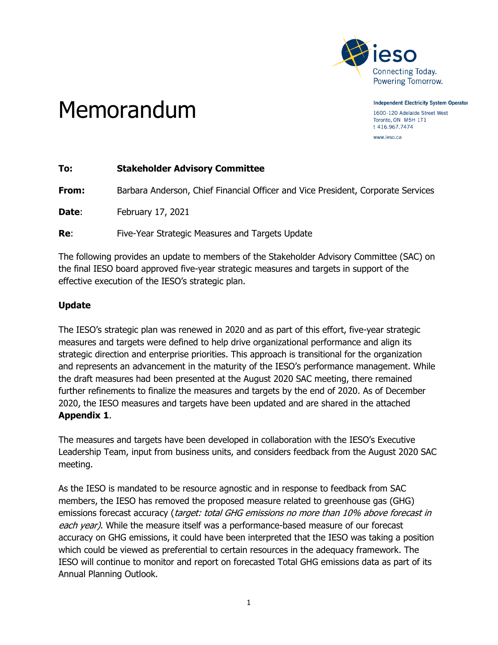

Memorandum

**Independent Electricity System Operator** 1600-120 Adelaide Street West Toronto, ON M5H 1T1 t 416.967.7474 www.ieso.ca

| To:   | <b>Stakeholder Advisory Committee</b>                                            |
|-------|----------------------------------------------------------------------------------|
| From: | Barbara Anderson, Chief Financial Officer and Vice President, Corporate Services |
| Date: | February 17, 2021                                                                |
| Re:   | Five-Year Strategic Measures and Targets Update                                  |

The following provides an update to members of the Stakeholder Advisory Committee (SAC) on the final IESO board approved five-year strategic measures and targets in support of the effective execution of the IESO's strategic plan.

## **Update**

The IESO's strategic plan was renewed in 2020 and as part of this effort, five-year strategic measures and targets were defined to help drive organizational performance and align its strategic direction and enterprise priorities. This approach is transitional for the organization and represents an advancement in the maturity of the IESO's performance management. While the draft measures had been presented at the August 2020 SAC meeting, there remained further refinements to finalize the measures and targets by the end of 2020. As of December 2020, the IESO measures and targets have been updated and are shared in the attached **Appendix 1**.

The measures and targets have been developed in collaboration with the IESO's Executive Leadership Team, input from business units, and considers feedback from the August 2020 SAC meeting.

As the IESO is mandated to be resource agnostic and in response to feedback from SAC members, the IESO has removed the proposed measure related to greenhouse gas (GHG) emissions forecast accuracy (target: total GHG emissions no more than 10% above forecast in each year). While the measure itself was a performance-based measure of our forecast accuracy on GHG emissions, it could have been interpreted that the IESO was taking a position which could be viewed as preferential to certain resources in the adequacy framework. The IESO will continue to monitor and report on forecasted Total GHG emissions data as part of its Annual Planning Outlook.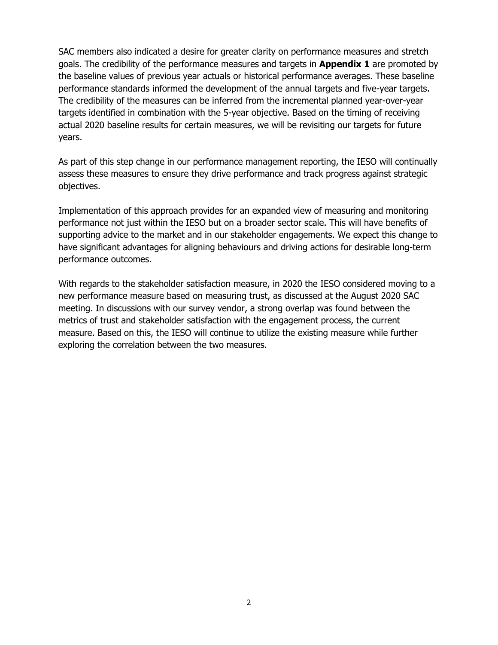SAC members also indicated a desire for greater clarity on performance measures and stretch goals. The credibility of the performance measures and targets in **Appendix 1** are promoted by the baseline values of previous year actuals or historical performance averages. These baseline performance standards informed the development of the annual targets and five-year targets. The credibility of the measures can be inferred from the incremental planned year-over-year targets identified in combination with the 5-year objective. Based on the timing of receiving actual 2020 baseline results for certain measures, we will be revisiting our targets for future years.

As part of this step change in our performance management reporting, the IESO will continually assess these measures to ensure they drive performance and track progress against strategic objectives.

Implementation of this approach provides for an expanded view of measuring and monitoring performance not just within the IESO but on a broader sector scale. This will have benefits of supporting advice to the market and in our stakeholder engagements. We expect this change to have significant advantages for aligning behaviours and driving actions for desirable long-term performance outcomes.

With regards to the stakeholder satisfaction measure, in 2020 the IESO considered moving to a new performance measure based on measuring trust, as discussed at the August 2020 SAC meeting. In discussions with our survey vendor, a strong overlap was found between the metrics of trust and stakeholder satisfaction with the engagement process, the current measure. Based on this, the IESO will continue to utilize the existing measure while further exploring the correlation between the two measures.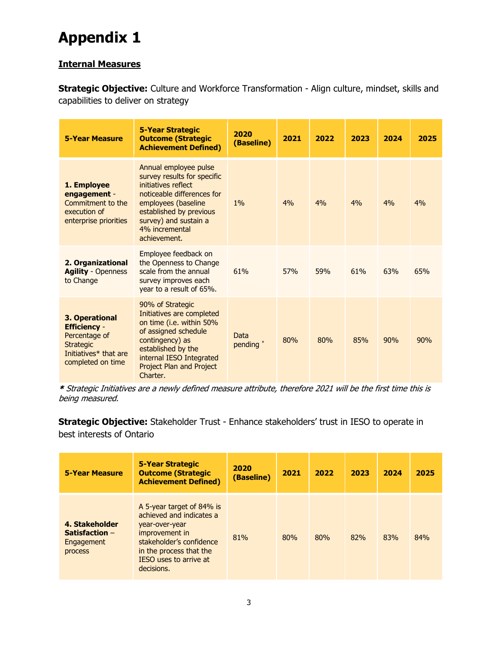## **Appendix 1**

## **Internal Measures**

**Strategic Objective:** Culture and Workforce Transformation - Align culture, mindset, skills and capabilities to deliver on strategy

| <b>5-Year Measure</b>                                                                                                    | <b>5-Year Strategic</b><br><b>Outcome (Strategic</b><br><b>Achievement Defined)</b>                                                                                                                                    | 2020<br>(Baseline)           | 2021       | 2022 | 2023 | 2024 | 2025 |
|--------------------------------------------------------------------------------------------------------------------------|------------------------------------------------------------------------------------------------------------------------------------------------------------------------------------------------------------------------|------------------------------|------------|------|------|------|------|
| 1. Employee<br>engagement -<br>Commitment to the<br>execution of<br>enterprise priorities                                | Annual employee pulse<br>survey results for specific<br>initiatives reflect<br>noticeable differences for<br>employees (baseline<br>established by previous<br>survey) and sustain a<br>4% incremental<br>achievement. | 1%                           | 4%         | 4%   | 4%   | 4%   | 4%   |
| 2. Organizational<br><b>Agility - Openness</b><br>to Change                                                              | Employee feedback on<br>the Openness to Change<br>scale from the annual<br>survey improves each<br>year to a result of 65%.                                                                                            | 61%                          | <b>57%</b> | 59%  | 61%  | 63%  | 65%  |
| 3. Operational<br><b>Efficiency -</b><br>Percentage of<br><b>Strategic</b><br>Initiatives* that are<br>completed on time | 90% of Strategic<br>Initiatives are completed<br>on time (i.e. within 50%<br>of assigned schedule<br>contingency) as<br>established by the<br>internal IESO Integrated<br>Project Plan and Project<br>Charter.         | Data<br>pending <sup>*</sup> | 80%        | 80%  | 85%  | 90%  | 90%  |

\* Strategic Initiatives are a newly defined measure attribute, therefore 2021 will be the first time this is being measured.

**Strategic Objective:** Stakeholder Trust - Enhance stakeholders' trust in IESO to operate in best interests of Ontario

| <b>5-Year Measure</b>                                       | <b>5-Year Strategic</b><br><b>Outcome (Strategic</b><br><b>Achievement Defined)</b>                                                                                                             | 2020<br>(Baseline) | 2021 | 2022 | 2023 | 2024 | 2025 |
|-------------------------------------------------------------|-------------------------------------------------------------------------------------------------------------------------------------------------------------------------------------------------|--------------------|------|------|------|------|------|
| 4. Stakeholder<br>Satisfaction $-$<br>Engagement<br>process | A 5-year target of 84% is<br>achieved and indicates a<br>year-over-year<br>improvement in<br>stakeholder's confidence<br>in the process that the<br><b>IESO</b> uses to arrive at<br>decisions. | 81%                | 80%  | 80%  | 82%  | 83%  | 84%  |